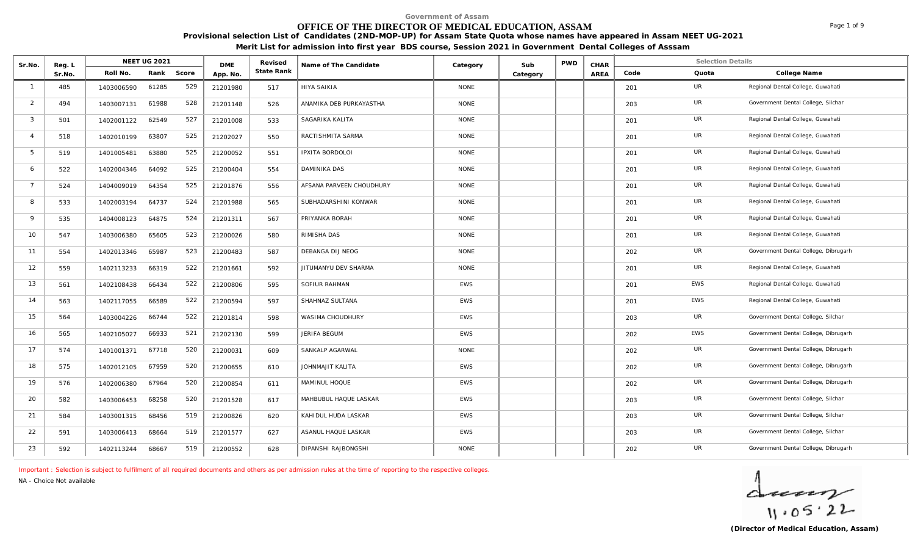# **OFFICE OF THE DIRECTOR OF MEDICAL EDUCATION, ASSAM**

**Provisional selection List of Candidates (2ND-MOP-UP) for Assam State Quota whose names have appeared in Assam NEET UG-2021** 

**Merit List for admission into first year BDS course, Session 2021 in Government Dental Colleges of Asssam**

| Sr.No.         | Reg. L | NEET UG 2021<br>Roll No.<br>Rank<br>Score |       |     |                        | Revised    | Name of The Candidate    | Category    | Sub      | <b>PWD</b> | CHAR |      | <b>Selection Details</b> |                                      |
|----------------|--------|-------------------------------------------|-------|-----|------------------------|------------|--------------------------|-------------|----------|------------|------|------|--------------------------|--------------------------------------|
|                | Sr.No. |                                           |       |     | <b>DME</b><br>App. No. | State Rank |                          |             | Category |            | AREA | Code | Quota                    | College Name                         |
| $\overline{1}$ | 485    | 1403006590                                | 61285 | 529 | 21201980               | 517        | <b>HIYA SAIKIA</b>       | <b>NONE</b> |          |            |      | 201  | <b>UR</b>                | Regional Dental College, Guwahati    |
| 2              | 494    | 1403007131                                | 61988 | 528 | 21201148               | 526        | ANAMIKA DEB PURKAYASTHA  | <b>NONE</b> |          |            |      | 203  | <b>UR</b>                | Government Dental College, Silchar   |
| 3              | 501    | 1402001122                                | 62549 | 527 | 21201008               | 533        | SAGARIKA KALITA          | <b>NONE</b> |          |            |      | 201  | UR                       | Regional Dental College, Guwahati    |
| $\overline{4}$ | 518    | 1402010199                                | 63807 | 525 | 21202027               | 550        | RACTISHMITA SARMA        | <b>NONE</b> |          |            |      | 201  | UR                       | Regional Dental College, Guwahati    |
| 5              | 519    | 1401005481                                | 63880 | 525 | 21200052               | 551        | IPXITA BORDOLOI          | <b>NONE</b> |          |            |      | 201  | UR                       | Regional Dental College, Guwahati    |
| 6              | 522    | 1402004346                                | 64092 | 525 | 21200404               | 554        | DAMINIKA DAS             | <b>NONE</b> |          |            |      | 201  | UR                       | Regional Dental College, Guwahati    |
| $\overline{7}$ | 524    | 1404009019                                | 64354 | 525 | 21201876               | 556        | AFSANA PARVEEN CHOUDHURY | <b>NONE</b> |          |            |      | 201  | UR                       | Regional Dental College, Guwahati    |
| 8              | 533    | 1402003194                                | 64737 | 524 | 21201988               | 565        | SUBHADARSHINI KONWAR     | <b>NONE</b> |          |            |      | 201  | UR                       | Regional Dental College, Guwahati    |
| $\mathsf{Q}$   | 535    | 1404008123                                | 64875 | 524 | 21201311               | 567        | PRIYANKA BORAH           | <b>NONE</b> |          |            |      | 201  | UR                       | Regional Dental College, Guwahati    |
| 10             | 547    | 1403006380                                | 65605 | 523 | 21200026               | 580        | RIMISHA DAS              | <b>NONE</b> |          |            |      | 201  | UR                       | Regional Dental College, Guwahati    |
| 11             | 554    | 1402013346                                | 65987 | 523 | 21200483               | 587        | DEBANGA DIJ NEOG         | <b>NONE</b> |          |            |      | 202  | UR                       | Government Dental College, Dibrugarh |
| 12             | 559    | 1402113233                                | 66319 | 522 | 21201661               | 592        | JITUMANYU DEV SHARMA     | <b>NONE</b> |          |            |      | 201  | UR                       | Regional Dental College, Guwahati    |
| 13             | 561    | 1402108438                                | 66434 | 522 | 21200806               | 595        | SOFIUR RAHMAN            | <b>EWS</b>  |          |            |      | 201  | EWS                      | Regional Dental College, Guwahati    |
| 14             | 563    | 1402117055                                | 66589 | 522 | 21200594               | 597        | SHAHNAZ SULTANA          | <b>EWS</b>  |          |            |      | 201  | <b>EWS</b>               | Regional Dental College, Guwahati    |
| 15             | 564    | 1403004226                                | 66744 | 522 | 21201814               | 598        | WASIMA CHOUDHURY         | EWS         |          |            |      | 203  | UR                       | Government Dental College, Silchar   |
| 16             | 565    | 1402105027                                | 66933 | 521 | 21202130               | 599        | JERIFA BEGUM             | <b>EWS</b>  |          |            |      | 202  | <b>EWS</b>               | Government Dental College, Dibrugarh |
| 17             | 574    | 1401001371                                | 67718 | 520 | 21200031               | 609        | SANKALP AGARWAL          | <b>NONE</b> |          |            |      | 202  | UR                       | Government Dental College, Dibrugarh |
| 18             | 575    | 1402012105                                | 67959 | 520 | 21200655               | 610        | JOHNMAJIT KALITA         | EWS         |          |            |      | 202  | <b>UR</b>                | Government Dental College, Dibrugarh |
| 19             | 576    | 1402006380                                | 67964 | 520 | 21200854               | 611        | MAMINUL HOQUE            | <b>EWS</b>  |          |            |      | 202  | UR                       | Government Dental College, Dibrugarh |
| 20             | 582    | 1403006453                                | 68258 | 520 | 21201528               | 617        | MAHBUBUL HAQUE LASKAR    | <b>EWS</b>  |          |            |      | 203  | UR                       | Government Dental College, Silchar   |
| 21             | 584    | 1403001315                                | 68456 | 519 | 21200826               | 620        | KAHIDUL HUDA LASKAR      | <b>EWS</b>  |          |            |      | 203  | UR                       | Government Dental College, Silchar   |
| 22             | 591    | 1403006413                                | 68664 | 519 | 21201577               | 627        | ASANUL HAQUE LASKAR      | <b>EWS</b>  |          |            |      | 203  | UR                       | Government Dental College, Silchar   |
| 23             | 592    | 1402113244                                | 68667 | 519 | 21200552               | 628        | DIPANSHI RAJBONGSHI      | <b>NONE</b> |          |            |      | 202  | UR                       | Government Dental College, Dibrugarh |

*Important : Selection is subject to fulfilment of all required documents and others as per admission rules at the time of reporting to the respective colleges.*

*NA - Choice Not available*

 $\frac{1}{11.05.22}$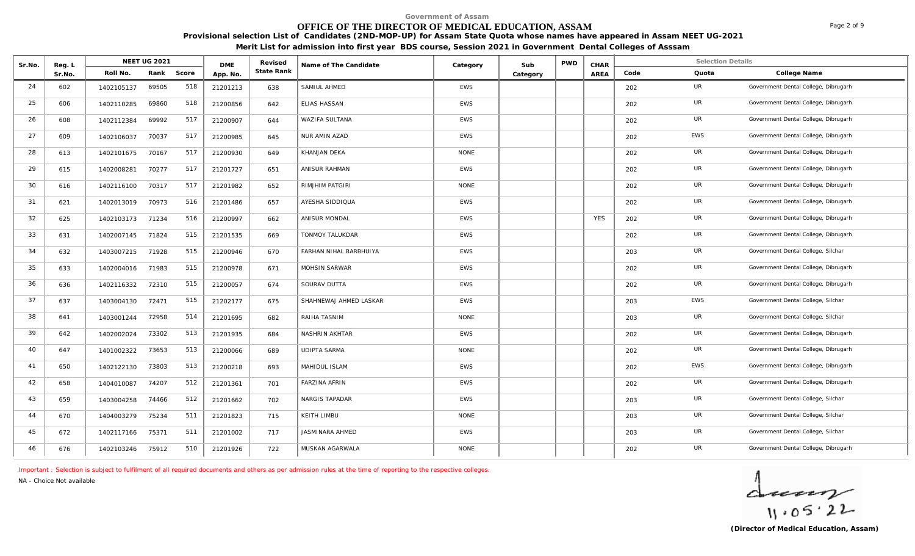#### **OFFICE OF THE DIRECTOR OF MEDICAL EDUCATION, ASSAM**

**Provisional selection List of Candidates (2ND-MOP-UP) for Assam State Quota whose names have appeared in Assam NEET UG-2021** 

**Merit List for admission into first year BDS course, Session 2021 in Government Dental Colleges of Asssam**

| Sr.No. | Reg. L | <b>NEET UG 2021</b><br>Roll No.<br>Rank<br>Score |       | <b>DME</b> | Revised  | Name of The Candidate | Category               | Sub         | <b>PWD</b> | CHAR |            | <b>Selection Details</b> |            |                                      |
|--------|--------|--------------------------------------------------|-------|------------|----------|-----------------------|------------------------|-------------|------------|------|------------|--------------------------|------------|--------------------------------------|
|        | Sr.No. |                                                  |       |            | App. No. | State Rank            |                        |             | Category   |      | AREA       | Code                     | Quota      | College Name                         |
| 24     | 602    | 1402105137                                       | 69505 | 518        | 21201213 | 638                   | SAMIUL AHMED           | <b>EWS</b>  |            |      |            | 202                      | UR         | Government Dental College, Dibrugarh |
| 25     | 606    | 1402110285                                       | 69860 | 518        | 21200856 | 642                   | ELIAS HASSAN           | <b>EWS</b>  |            |      |            | 202                      | UR         | Government Dental College, Dibrugarh |
| 26     | 608    | 1402112384                                       | 69992 | 517        | 21200907 | 644                   | WAZIFA SULTANA         | <b>EWS</b>  |            |      |            | 202                      | UR         | Government Dental College, Dibrugarh |
| 27     | 609    | 1402106037                                       | 70037 | 517        | 21200985 | 645                   | NUR AMIN AZAD          | <b>EWS</b>  |            |      |            | 202                      | <b>EWS</b> | Government Dental College, Dibrugarh |
| 28     | 613    | 1402101675                                       | 70167 | 517        | 21200930 | 649                   | KHANJAN DEKA           | <b>NONE</b> |            |      |            | 202                      | UR         | Government Dental College, Dibrugarh |
| 29     | 615    | 1402008281                                       | 70277 | 517        | 21201727 | 651                   | ANISUR RAHMAN          | EWS         |            |      |            | 202                      | UR         | Government Dental College, Dibrugarh |
| 30     | 616    | 1402116100                                       | 70317 | 517        | 21201982 | 652                   | <b>RIMJHIM PATGIRI</b> | <b>NONE</b> |            |      |            | 202                      | UR         | Government Dental College, Dibrugarh |
| 31     | 621    | 1402013019                                       | 70973 | 516        | 21201486 | 657                   | AYESHA SIDDIQUA        | <b>EWS</b>  |            |      |            | 202                      | UR         | Government Dental College, Dibrugarh |
| 32     | 625    | 1402103173                                       | 71234 | 516        | 21200997 | 662                   | ANISUR MONDAL          | EWS         |            |      | <b>YES</b> | 202                      | <b>UR</b>  | Government Dental College, Dibrugarh |
| 33     | 631    | 1402007145                                       | 71824 | 515        | 21201535 | 669                   | TONMOY TALUKDAR        | EWS         |            |      |            | 202                      | UR         | Government Dental College, Dibrugarh |
| 34     | 632    | 1403007215                                       | 71928 | 515        | 21200946 | 670                   | FARHAN NIHAL BARBHUIYA | EWS         |            |      |            | 203                      | UR         | Government Dental College, Silchar   |
| 35     | 633    | 1402004016                                       | 71983 | 515        | 21200978 | 671                   | MOHSIN SARWAR          | <b>EWS</b>  |            |      |            | 202                      | UR         | Government Dental College, Dibrugarh |
| 36     | 636    | 1402116332                                       | 72310 | 515        | 21200057 | 674                   | SOURAV DUTTA           | EWS         |            |      |            | 202                      | UR         | Government Dental College, Dibrugarh |
| 37     | 637    | 1403004130                                       | 72471 | 515        | 21202177 | 675                   | SHAHNEWAJ AHMED LASKAR | <b>EWS</b>  |            |      |            | 203                      | <b>EWS</b> | Government Dental College, Silchar   |
| 38     | 641    | 1403001244                                       | 72958 | 514        | 21201695 | 682                   | RAIHA TASNIM           | <b>NONE</b> |            |      |            | 203                      | <b>UR</b>  | Government Dental College, Silchar   |
| 39     | 642    | 1402002024                                       | 73302 | 513        | 21201935 | 684                   | NASHRIN AKHTAR         | EWS         |            |      |            | 202                      | UR         | Government Dental College, Dibrugarh |
| 40     | 647    | 1401002322                                       | 73653 | 513        | 21200066 | 689                   | <b>UDIPTA SARMA</b>    | <b>NONE</b> |            |      |            | 202                      | <b>UR</b>  | Government Dental College, Dibrugarh |
| 41     | 650    | 1402122130                                       | 73803 | 513        | 21200218 | 693                   | MAHIDUL ISLAM          | <b>EWS</b>  |            |      |            | 202                      | <b>EWS</b> | Government Dental College, Dibrugarh |
| 42     | 658    | 1404010087                                       | 74207 | 512        | 21201361 | 701                   | <b>FARZINA AFRIN</b>   | EWS         |            |      |            | 202                      | UR         | Government Dental College, Dibrugarh |
| 43     | 659    | 1403004258                                       | 74466 | 512        | 21201662 | 702                   | NARGIS TAPADAR         | EWS         |            |      |            | 203                      | UR         | Government Dental College, Silchar   |
| 44     | 670    | 1404003279                                       | 75234 | 511        | 21201823 | 715                   | KEITH LIMBU            | <b>NONE</b> |            |      |            | 203                      | UR         | Government Dental College, Silchar   |
| 45     | 672    | 1402117166                                       | 75371 | 511        | 21201002 | 717                   | JASMINARA AHMED        | EWS         |            |      |            | 203                      | UR         | Government Dental College, Silchar   |
| 46     | 676    | 1402103246                                       | 75912 | 510        | 21201926 | 722                   | MUSKAN AGARWALA        | <b>NONE</b> |            |      |            | 202                      | UR         | Government Dental College, Dibrugarh |

*Important : Selection is subject to fulfilment of all required documents and others as per admission rules at the time of reporting to the respective colleges.*

*NA - Choice Not available*

 $\frac{1}{11.05.22}$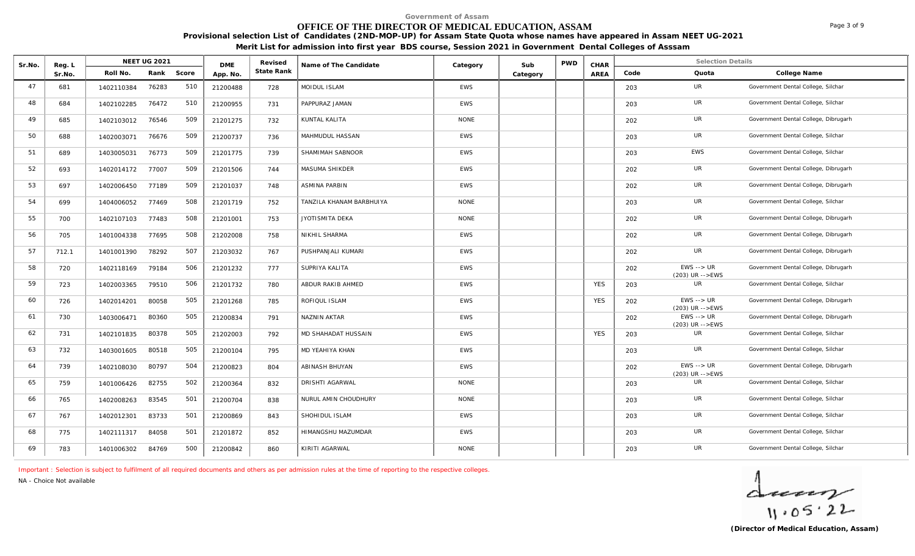# **OFFICE OF THE DIRECTOR OF MEDICAL EDUCATION, ASSAM**

**Provisional selection List of Candidates (2ND-MOP-UP) for Assam State Quota whose names have appeared in Assam NEET UG-2021** 

**Merit List for admission into first year BDS course, Session 2021 in Government Dental Colleges of Asssam**

| Sr.No. | Reg. L |            | <b>NEET UG 2021</b> |       | <b>DME</b> | Revised    | Name of The Candidate    | Category    | Sub      | PWD | CHAR       |      | <b>Selection Details</b>                         |                                      |
|--------|--------|------------|---------------------|-------|------------|------------|--------------------------|-------------|----------|-----|------------|------|--------------------------------------------------|--------------------------------------|
|        | Sr.No. | Roll No.   | Rank                | Score | App. No.   | State Rank |                          |             | Category |     | AREA       | Code | Quota                                            | College Name                         |
| 47     | 681    | 1402110384 | 76283               | 510   | 21200488   | 728        | MOIDUL ISLAM             | <b>EWS</b>  |          |     |            | 203  | <b>UR</b>                                        | Government Dental College, Silchar   |
| 48     | 684    | 1402102285 | 76472               | 510   | 21200955   | 731        | PAPPURAZ JAMAN           | EWS         |          |     |            | 203  | UR                                               | Government Dental College, Silchar   |
| 49     | 685    | 1402103012 | 76546               | 509   | 21201275   | 732        | KUNTAL KALITA            | <b>NONE</b> |          |     |            | 202  | <b>UR</b>                                        | Government Dental College, Dibrugarh |
| 50     | 688    | 1402003071 | 76676               | 509   | 21200737   | 736        | MAHMUDUL HASSAN          | <b>EWS</b>  |          |     |            | 203  | <b>UR</b>                                        | Government Dental College, Silchar   |
| 51     | 689    | 1403005031 | 76773               | 509   | 21201775   | 739        | SHAMIMAH SABNOOR         | <b>EWS</b>  |          |     |            | 203  | <b>EWS</b>                                       | Government Dental College, Silchar   |
| 52     | 693    | 1402014172 | 77007               | 509   | 21201506   | 744        | MASUMA SHIKDER           | EWS         |          |     |            | 202  | UR                                               | Government Dental College, Dibrugarh |
| 53     | 697    | 1402006450 | 77189               | 509   | 21201037   | 748        | <b>ASMINA PARBIN</b>     | <b>EWS</b>  |          |     |            | 202  | UR                                               | Government Dental College, Dibrugarh |
| 54     | 699    | 1404006052 | 77469               | 508   | 21201719   | 752        | TANZILA KHANAM BARBHUIYA | <b>NONE</b> |          |     |            | 203  | <b>UR</b>                                        | Government Dental College, Silchar   |
| 55     | 700    | 1402107103 | 77483               | 508   | 21201001   | 753        | JYOTISMITA DEKA          | <b>NONE</b> |          |     |            | 202  | UR                                               | Government Dental College, Dibrugarh |
| 56     | 705    | 1401004338 | 77695               | 508   | 21202008   | 758        | NIKHIL SHARMA            | <b>EWS</b>  |          |     |            | 202  | UR                                               | Government Dental College, Dibrugarh |
| 57     | 712.1  | 1401001390 | 78292               | 507   | 21203032   | 767        | PUSHPANJALI KUMARI       | <b>EWS</b>  |          |     |            | 202  | UR                                               | Government Dental College, Dibrugarh |
| 58     | 720    | 1402118169 | 79184               | 506   | 21201232   | 777        | SUPRIYA KALITA           | <b>EWS</b>  |          |     |            | 202  | $EWS \longrightarrow UR$<br>$(203)$ UR -->EWS    | Government Dental College, Dibrugarh |
| 59     | 723    | 1402003365 | 79510               | 506   | 21201732   | 780        | ABDUR RAKIB AHMED        | <b>EWS</b>  |          |     | <b>YES</b> | 203  | UR                                               | Government Dental College, Silchar   |
| 60     | 726    | 1402014201 | 80058               | 505   | 21201268   | 785        | ROFIQUL ISLAM            | <b>EWS</b>  |          |     | <b>YES</b> | 202  | $EWS \rightarrow \textit{UR}$<br>(203) UR -->EWS | Government Dental College, Dibrugarh |
| 61     | 730    | 1403006471 | 80360               | 505   | 21200834   | 791        | NAZNIN AKTAR             | EWS         |          |     |            | 202  | $EWS \longrightarrow UR$<br>(203) UR -->EWS      | Government Dental College, Dibrugarh |
| 62     | 731    | 1402101835 | 80378               | 505   | 21202003   | 792        | MD SHAHADAT HUSSAIN      | <b>EWS</b>  |          |     | <b>YES</b> | 203  | UR                                               | Government Dental College, Silchar   |
| 63     | 732    | 1403001605 | 80518               | 505   | 21200104   | 795        | MD YEAHIYA KHAN          | <b>EWS</b>  |          |     |            | 203  | <b>UR</b>                                        | Government Dental College, Silchar   |
| 64     | 739    | 1402108030 | 80797               | 504   | 21200823   | 804        | ABINASH BHUYAN           | <b>EWS</b>  |          |     |            | 202  | $EWS \rightarrow UR$<br>$(203)$ UR -->EWS        | Government Dental College, Dibrugarh |
| 65     | 759    | 1401006426 | 82755               | 502   | 21200364   | 832        | DRISHTI AGARWAL          | <b>NONE</b> |          |     |            | 203  | UR                                               | Government Dental College, Silchar   |
| 66     | 765    | 1402008263 | 83545               | 501   | 21200704   | 838        | NURUL AMIN CHOUDHURY     | <b>NONE</b> |          |     |            | 203  | UR                                               | Government Dental College, Silchar   |
| 67     | 767    | 1402012301 | 83733               | 501   | 21200869   | 843        | SHOHIDUL ISLAM           | <b>EWS</b>  |          |     |            | 203  | <b>UR</b>                                        | Government Dental College, Silchar   |
| 68     | 775    | 1402111317 | 84058               | 501   | 21201872   | 852        | HIMANGSHU MAZUMDAR       | <b>EWS</b>  |          |     |            | 203  | UR                                               | Government Dental College, Silchar   |
| 69     | 783    | 1401006302 | 84769               | 500   | 21200842   | 860        | KIRITI AGARWAL           | <b>NONE</b> |          |     |            | 203  | <b>UR</b>                                        | Government Dental College, Silchar   |

*Important : Selection is subject to fulfilment of all required documents and others as per admission rules at the time of reporting to the respective colleges.*

*NA - Choice Not available*

 $\frac{1}{11.05.22}$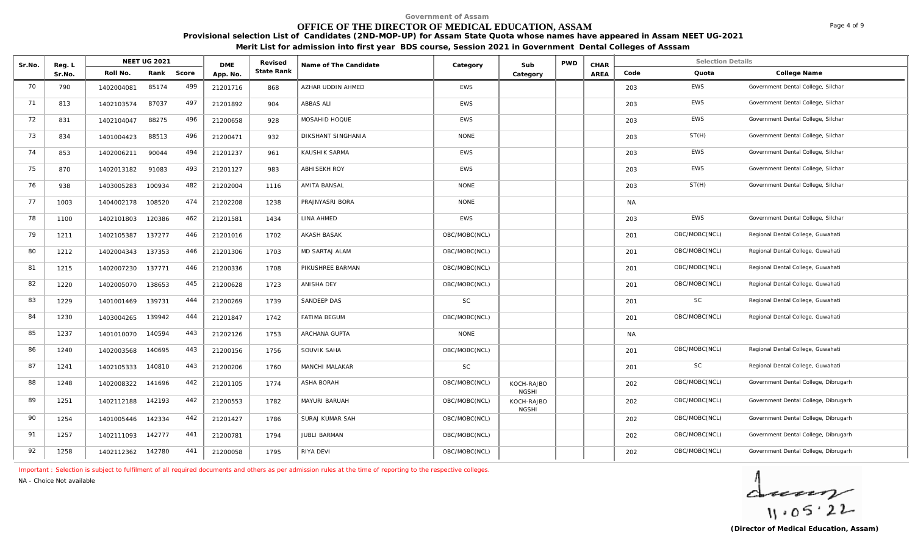# **OFFICE OF THE DIRECTOR OF MEDICAL EDUCATION, ASSAM**

**Provisional selection List of Candidates (2ND-MOP-UP) for Assam State Quota whose names have appeared in Assam NEET UG-2021** 

**Merit List for admission into first year BDS course, Session 2021 in Government Dental Colleges of Asssam**

| Sr.No. | Reg. L |            | <b>NEET UG 2021</b> |       | <b>DME</b> | Revised    | Name of The Candidate | Category      | Sub                        | <b>PWD</b> | CHAR |           | <b>Selection Details</b> |                                      |
|--------|--------|------------|---------------------|-------|------------|------------|-----------------------|---------------|----------------------------|------------|------|-----------|--------------------------|--------------------------------------|
|        | Sr.No. | Roll No.   | Rank                | Score | App. No.   | State Rank |                       |               | Category                   |            | AREA | Code      | Quota                    | College Name                         |
| 70     | 790    | 1402004081 | 85174               | 499   | 21201716   | 868        | AZHAR UDDIN AHMED     | <b>EWS</b>    |                            |            |      | 203       | <b>EWS</b>               | Government Dental College, Silchar   |
| 71     | 813    | 1402103574 | 87037               | 497   | 21201892   | 904        | <b>ABBAS ALI</b>      | <b>EWS</b>    |                            |            |      | 203       | <b>EWS</b>               | Government Dental College, Silchar   |
| 72     | 831    | 1402104047 | 88275               | 496   | 21200658   | 928        | MOSAHID HOQUE         | EWS           |                            |            |      | 203       | EWS                      | Government Dental College, Silchar   |
| 73     | 834    | 1401004423 | 88513               | 496   | 21200471   | 932        | DIKSHANT SINGHANIA    | <b>NONE</b>   |                            |            |      | 203       | ST(H)                    | Government Dental College, Silchar   |
| 74     | 853    | 1402006211 | 90044               | 494   | 21201237   | 961        | KAUSHIK SARMA         | <b>EWS</b>    |                            |            |      | 203       | EWS                      | Government Dental College, Silchar   |
| 75     | 870    | 1402013182 | 91083               | 493   | 21201127   | 983        | <b>ABHISEKH ROY</b>   | <b>EWS</b>    |                            |            |      | 203       | <b>EWS</b>               | Government Dental College, Silchar   |
| 76     | 938    | 1403005283 | 100934              | 482   | 21202004   | 1116       | AMITA BANSAL          | <b>NONE</b>   |                            |            |      | 203       | ST(H)                    | Government Dental College, Silchar   |
| 77     | 1003   | 1404002178 | 108520              | 474   | 21202208   | 1238       | PRAJNYASRI BORA       | <b>NONE</b>   |                            |            |      | NA.       |                          |                                      |
| 78     | 1100   | 1402101803 | 120386              | 462   | 21201581   | 1434       | LINA AHMED            | EWS           |                            |            |      | 203       | <b>EWS</b>               | Government Dental College, Silchar   |
| 79     | 1211   | 1402105387 | 137277              | 446   | 21201016   | 1702       | <b>AKASH BASAK</b>    | OBC/MOBC(NCL) |                            |            |      | 201       | OBC/MOBC(NCL)            | Regional Dental College, Guwahati    |
| 80     | 1212   | 1402004343 | 137353              | 446   | 21201306   | 1703       | MD SARTAJ ALAM        | OBC/MOBC(NCL) |                            |            |      | 201       | OBC/MOBC(NCL)            | Regional Dental College, Guwahati    |
| 81     | 1215   | 1402007230 | 137771              | 446   | 21200336   | 1708       | PIKUSHREE BARMAN      | OBC/MOBC(NCL) |                            |            |      | 201       | OBC/MOBC(NCL)            | Regional Dental College, Guwahati    |
| 82     | 1220   | 1402005070 | 138653              | 445   | 21200628   | 1723       | ANISHA DEY            | OBC/MOBC(NCL) |                            |            |      | 201       | OBC/MOBC(NCL)            | Regional Dental College, Guwahati    |
| 83     | 1229   | 1401001469 | 139731              | 444   | 21200269   | 1739       | SANDEEP DAS           | <b>SC</b>     |                            |            |      | 201       | <b>SC</b>                | Regional Dental College, Guwahati    |
| 84     | 1230   | 1403004265 | 139942              | 444   | 21201847   | 1742       | <b>FATIMA BEGUM</b>   | OBC/MOBC(NCL) |                            |            |      | 201       | OBC/MOBC(NCL)            | Regional Dental College, Guwahati    |
| 85     | 1237   | 1401010070 | 140594              | 443   | 21202126   | 1753       | ARCHANA GUPTA         | <b>NONE</b>   |                            |            |      | <b>NA</b> |                          |                                      |
| 86     | 1240   | 1402003568 | 140695              | 443   | 21200156   | 1756       | SOUVIK SAHA           | OBC/MOBC(NCL) |                            |            |      | 201       | OBC/MOBC(NCL)            | Regional Dental College, Guwahati    |
| 87     | 1241   | 1402105333 | 140810              | 443   | 21200206   | 1760       | MANCHI MALAKAR        | $\mathsf{SC}$ |                            |            |      | 201       | <b>SC</b>                | Regional Dental College, Guwahati    |
| 88     | 1248   | 1402008322 | 141696              | 442   | 21201105   | 1774       | ASHA BORAH            | OBC/MOBC(NCL) | KOCH-RAJBO<br><b>NGSHI</b> |            |      | 202       | OBC/MOBC(NCL)            | Government Dental College, Dibrugarh |
| 89     | 1251   | 1402112188 | 142193              | 442   | 21200553   | 1782       | MAYURI BARUAH         | OBC/MOBC(NCL) | KOCH-RAJBO<br><b>NGSHI</b> |            |      | 202       | OBC/MOBC(NCL)            | Government Dental College, Dibrugarh |
| 90     | 1254   | 1401005446 | 142334              | 442   | 21201427   | 1786       | SURAJ KUMAR SAH       | OBC/MOBC(NCL) |                            |            |      | 202       | OBC/MOBC(NCL)            | Government Dental College, Dibrugarh |
| 91     | 1257   | 1402111093 | 142777              | 441   | 21200781   | 1794       | <b>JUBLI BARMAN</b>   | OBC/MOBC(NCL) |                            |            |      | 202       | OBC/MOBC(NCL)            | Government Dental College, Dibrugarh |
| 92     | 1258   | 1402112362 | 142780              | 441   | 21200058   | 1795       | RIYA DEVI             | OBC/MOBC(NCL) |                            |            |      | 202       | OBC/MOBC(NCL)            | Government Dental College, Dibrugarh |

*Important : Selection is subject to fulfilment of all required documents and others as per admission rules at the time of reporting to the respective colleges.*

*NA - Choice Not available*

 $\frac{1}{11.05.22}$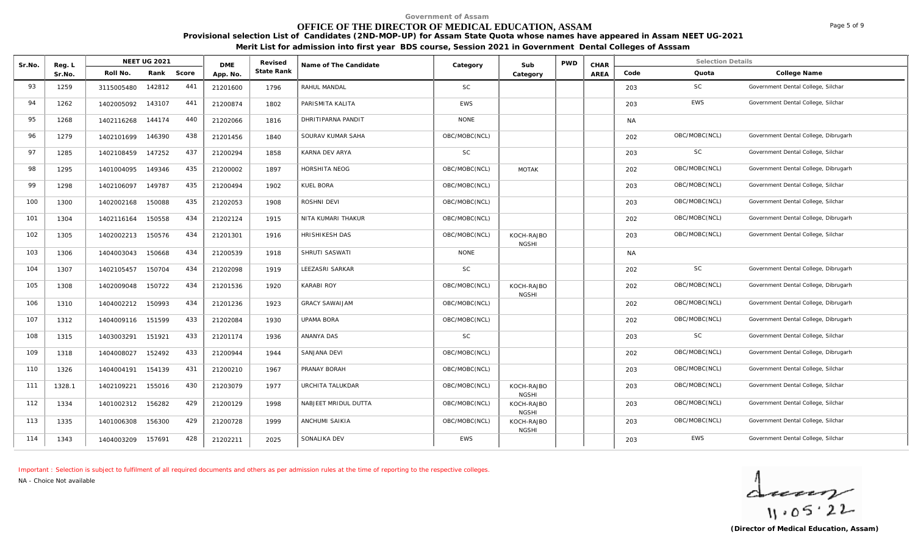# **OFFICE OF THE DIRECTOR OF MEDICAL EDUCATION, ASSAM**

**Provisional selection List of Candidates (2ND-MOP-UP) for Assam State Quota whose names have appeared in Assam NEET UG-2021** 

**Merit List for admission into first year BDS course, Session 2021 in Government Dental Colleges of Asssam**

| Sr.No. | Reg. L | NEET UG 2021<br>Rank Score |        | <b>DME</b> | Revised  | Name of The Candidate | Category              | Sub           | <b>PWD</b>                 | CHAR |      | <b>Selection Details</b> |               |                                      |
|--------|--------|----------------------------|--------|------------|----------|-----------------------|-----------------------|---------------|----------------------------|------|------|--------------------------|---------------|--------------------------------------|
|        | Sr.No. | Roll No.                   |        |            | App. No  | State Rank            |                       |               | Category                   |      | AREA | Code                     | Quota         | College Name                         |
| 93     | 1259   | 3115005480                 | 142812 | 441        | 21201600 | 1796                  | RAHUL MANDAL          | SC            |                            |      |      | 203                      | <b>SC</b>     | Government Dental College, Silchar   |
| 94     | 1262   | 1402005092 143107          |        | 441        | 21200874 | 1802                  | PARISMITA KALITA      | <b>EWS</b>    |                            |      |      | 203                      | <b>EWS</b>    | Government Dental College, Silchar   |
| 95     | 1268   | 1402116268                 | 144174 | 440        | 21202066 | 1816                  | DHRITIPARNA PANDIT    | <b>NONE</b>   |                            |      |      | NA                       |               |                                      |
| 96     | 1279   | 1402101699                 | 146390 | 438        | 21201456 | 1840                  | SOURAV KUMAR SAHA     | OBC/MOBC(NCL) |                            |      |      | 202                      | OBC/MOBC(NCL) | Government Dental College, Dibrugarh |
| 97     | 1285   | 1402108459                 | 147252 | 437        | 21200294 | 1858                  | KARNA DEV ARYA        | SC            |                            |      |      | 203                      | <b>SC</b>     | Government Dental College, Silchar   |
| 98     | 1295   | 1401004095                 | 149346 | 435        | 21200002 | 1897                  | <b>HORSHITA NEOG</b>  | OBC/MOBC(NCL) | <b>MOTAK</b>               |      |      | 202                      | OBC/MOBC(NCL) | Government Dental College, Dibrugarh |
| 99     | 1298   | 1402106097                 | 149787 | 435        | 21200494 | 1902                  | KUEL BORA             | OBC/MOBC(NCL) |                            |      |      | 203                      | OBC/MOBC(NCL) | Government Dental College, Silchar   |
| 100    | 1300   | 1402002168                 | 150088 | 435        | 21202053 | 1908                  | ROSHNI DEVI           | OBC/MOBC(NCL) |                            |      |      | 203                      | OBC/MOBC(NCL) | Government Dental College, Silchar   |
| 101    | 1304   | 1402116164                 | 150558 | 434        | 21202124 | 1915                  | NITA KUMARI THAKUR    | OBC/MOBC(NCL) |                            |      |      | 202                      | OBC/MOBC(NCL) | Government Dental College, Dibrugarh |
| 102    | 1305   | 1402002213                 | 150576 | 434        | 21201301 | 1916                  | HRISHIKESH DAS        | OBC/MOBC(NCL) | KOCH-RAJBO<br><b>NGSHI</b> |      |      | 203                      | OBC/MOBC(NCL) | Government Dental College, Silchar   |
| 103    | 1306   | 1404003043                 | 150668 | 434        | 21200539 | 1918                  | SHRUTI SASWATI        | <b>NONE</b>   |                            |      |      | <b>NA</b>                |               |                                      |
| 104    | 1307   | 1402105457                 | 150704 | 434        | 21202098 | 1919                  | LEEZASRI SARKAR       | SC            |                            |      |      | 202                      | <b>SC</b>     | Government Dental College, Dibrugarh |
| 105    | 1308   | 1402009048                 | 150722 | 434        | 21201536 | 1920                  | <b>KARABI ROY</b>     | OBC/MOBC(NCL) | KOCH-RAJBO<br><b>NGSHI</b> |      |      | 202                      | OBC/MOBC(NCL) | Government Dental College, Dibrugarh |
| 106    | 1310   | 1404002212 150993          |        | 434        | 21201236 | 1923                  | <b>GRACY SAWAIJAM</b> | OBC/MOBC(NCL) |                            |      |      | 202                      | OBC/MOBC(NCL) | Government Dental College, Dibrugarh |
| 107    | 1312   | 1404009116                 | 151599 | 433        | 21202084 | 1930                  | <b>UPAMA BORA</b>     | OBC/MOBC(NCL) |                            |      |      | 202                      | OBC/MOBC(NCL) | Government Dental College, Dibrugarh |
| 108    | 1315   | 1403003291                 | 151921 | 433        | 21201174 | 1936                  | ANANYA DAS            | <b>SC</b>     |                            |      |      | 203                      | <b>SC</b>     | Government Dental College, Silchar   |
| 109    | 1318   | 1404008027                 | 152492 | 433        | 21200944 | 1944                  | SANJANA DEVI          | OBC/MOBC(NCL) |                            |      |      | 202                      | OBC/MOBC(NCL) | Government Dental College, Dibrugarh |
| 110    | 1326   | 1404004191                 | 154139 | 431        | 21200210 | 1967                  | PRANAY BORAH          | OBC/MOBC(NCL) |                            |      |      | 203                      | OBC/MOBC(NCL) | Government Dental College, Silchar   |
| 111    | 1328.1 | 1402109221                 | 155016 | 430        | 21203079 | 1977                  | URCHITA TALUKDAR      | OBC/MOBC(NCL) | KOCH-RAJBO<br><b>NGSHI</b> |      |      | 203                      | OBC/MOBC(NCL) | Government Dental College, Silchar   |
| 112    | 1334   | 1401002312                 | 156282 | 429        | 21200129 | 1998                  | NABJEET MRIDUL DUTTA  | OBC/MOBC(NCL) | KOCH-RAJBO<br><b>NGSHI</b> |      |      | 203                      | OBC/MOBC(NCL) | Government Dental College, Silchar   |
| 113    | 1335   | 1401006308                 | 156300 | 429        | 21200728 | 1999                  | ANCHUMI SAIKIA        | OBC/MOBC(NCL) | KOCH-RAJBO<br><b>NGSHI</b> |      |      | 203                      | OBC/MOBC(NCL) | Government Dental College, Silchar   |
| 114    | 1343   | 1404003209                 | 157691 | 428        | 21202211 | 2025                  | SONALIKA DEV          | <b>EWS</b>    |                            |      |      | 203                      | <b>EWS</b>    | Government Dental College, Silchar   |

*Important : Selection is subject to fulfilment of all required documents and others as per admission rules at the time of reporting to the respective colleges.*

*NA - Choice Not available*

 $\frac{1}{11.05.22}$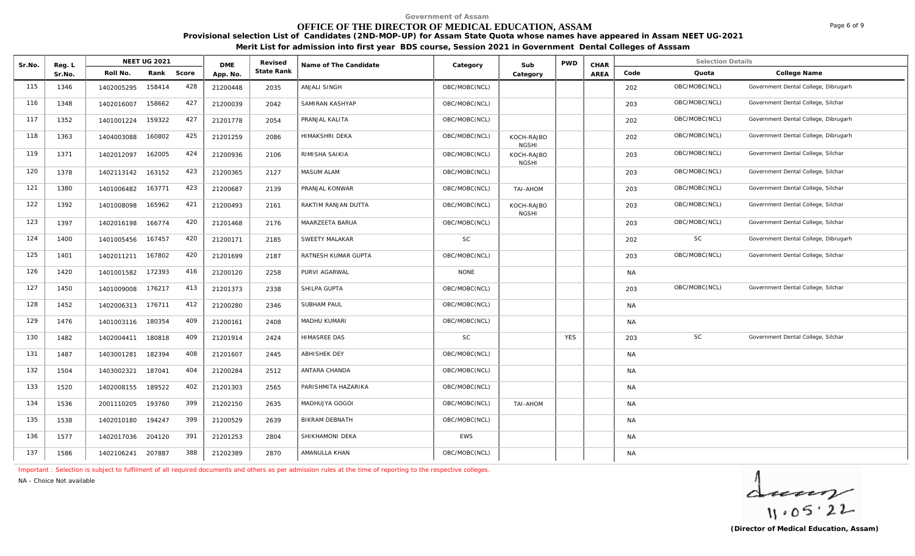# **OFFICE OF THE DIRECTOR OF MEDICAL EDUCATION, ASSAM**

**Provisional selection List of Candidates (2ND-MOP-UP) for Assam State Quota whose names have appeared in Assam NEET UG-2021** 

**Merit List for admission into first year BDS course, Session 2021 in Government Dental Colleges of Asssam**

| Sr.No. | Reg. L |                   | <b>NEET UG 2021</b> |     | <b>DME</b> | Revised    | Name of The Candidate | Category      | Sub                        | <b>PWD</b> | CHAR |           | <b>Selection Details</b> |                                      |
|--------|--------|-------------------|---------------------|-----|------------|------------|-----------------------|---------------|----------------------------|------------|------|-----------|--------------------------|--------------------------------------|
|        | Sr.No. | Roll No.          | Rank Score          |     | App. No.   | State Rank |                       |               | Category                   |            | AREA | Code      | Quota                    | College Name                         |
| 115    | 1346   | 1402005295        | 158414              | 428 | 21200448   | 2035       | <b>ANJALI SINGH</b>   | OBC/MOBC(NCL) |                            |            |      | 202       | OBC/MOBC(NCL)            | Government Dental College, Dibrugarh |
| 116    | 1348   | 1402016007        | 158662              | 427 | 21200039   | 2042       | SAMIRAN KASHYAP       | OBC/MOBC(NCL) |                            |            |      | 203       | OBC/MOBC(NCL)            | Government Dental College, Silchar   |
| 117    | 1352   | 1401001224        | 159322              | 427 | 21201778   | 2054       | PRANJAL KALITA        | OBC/MOBC(NCL) |                            |            |      | 202       | OBC/MOBC(NCL)            | Government Dental College, Dibrugarh |
| 118    | 1363   | 1404003088        | 160802              | 425 | 21201259   | 2086       | HIMAKSHRI DEKA        | OBC/MOBC(NCL) | KOCH-RAJBO<br><b>NGSHI</b> |            |      | 202       | OBC/MOBC(NCL)            | Government Dental College, Dibrugarh |
| 119    | 1371   | 1402012097        | 162005              | 424 | 21200936   | 2106       | RIMISHA SAIKIA        | OBC/MOBC(NCL) | KOCH-RAJBO<br><b>NGSHI</b> |            |      | 203       | OBC/MOBC(NCL)            | Government Dental College, Silchar   |
| 120    | 1378   | 1402113142        | 163152              | 423 | 21200365   | 2127       | <b>MASUM ALAM</b>     | OBC/MOBC(NCL) |                            |            |      | 203       | OBC/MOBC(NCL)            | Government Dental College, Silchar   |
| 121    | 1380   | 1401006482        | 163771              | 423 | 21200687   | 2139       | PRANJAL KONWAR        | OBC/MOBC(NCL) | MOHA-IAT                   |            |      | 203       | OBC/MOBC(NCL)            | Government Dental College, Silchar   |
| 122    | 1392   | 1401008098        | 165962              | 421 | 21200493   | 2161       | RAKTIM RANJAN DUTTA   | OBC/MOBC(NCL) | KOCH-RAJBO<br><b>NGSHI</b> |            |      | 203       | OBC/MOBC(NCL)            | Government Dental College, Silchar   |
| 123    | 1397   | 1402016198        | 166774              | 420 | 21201468   | 2176       | MAARZEETA BARUA       | OBC/MOBC(NCL) |                            |            |      | 203       | OBC/MOBC(NCL)            | Government Dental College, Silchar   |
| 124    | 1400   | 1401005456        | 167457              | 420 | 21200171   | 2185       | SWEETY MALAKAR        | <b>SC</b>     |                            |            |      | 202       | <b>SC</b>                | Government Dental College, Dibrugarh |
| 125    | 1401   | 1402011211        | 167802              | 420 | 21201699   | 2187       | RATNESH KUMAR GUPTA   | OBC/MOBC(NCL) |                            |            |      | 203       | OBC/MOBC(NCL)            | Government Dental College, Silchar   |
| 126    | 1420   | 1401001582        | 172393              | 416 | 21200120   | 2258       | PURVI AGARWAL         | <b>NONE</b>   |                            |            |      | NA        |                          |                                      |
| 127    | 1450   | 1401009008        | 176217              | 413 | 21201373   | 2338       | SHILPA GUPTA          | OBC/MOBC(NCL) |                            |            |      | 203       | OBC/MOBC(NCL)            | Government Dental College, Silchar   |
| 128    | 1452   | 1402006313        | 176711              | 412 | 21200280   | 2346       | <b>SUBHAM PAUL</b>    | OBC/MOBC(NCL) |                            |            |      | NA        |                          |                                      |
| 129    | 1476   | 1401003116        | 180354              | 409 | 21200161   | 2408       | MADHU KUMARI          | OBC/MOBC(NCL) |                            |            |      | NA        |                          |                                      |
| 130    | 1482   | 1402004411        | 180818              | 409 | 21201914   | 2424       | <b>HIMASREE DAS</b>   | <b>SC</b>     |                            | <b>YES</b> |      | 203       | <b>SC</b>                | Government Dental College, Silchar   |
| 131    | 1487   | 1403001281        | 182394              | 408 | 21201607   | 2445       | <b>ABHISHEK DEY</b>   | OBC/MOBC(NCL) |                            |            |      | NA        |                          |                                      |
| 132    | 1504   | 1403002321        | 187041              | 404 | 21200284   | 2512       | ANTARA CHANDA         | OBC/MOBC(NCL) |                            |            |      | NA        |                          |                                      |
| 133    | 1520   | 1402008155        | 189522              | 402 | 21201303   | 2565       | PARISHMITA HAZARIKA   | OBC/MOBC(NCL) |                            |            |      | NA        |                          |                                      |
| 134    | 1536   | 2001110205        | 193760              | 399 | 21202150   | 2635       | MADHUJYA GOGOI        | OBC/MOBC(NCL) | MOHA-IAT                   |            |      | NA        |                          |                                      |
| 135    | 1538   | 1402010180 194247 |                     | 399 | 21200529   | 2639       | BIKRAM DEBNATH        | OBC/MOBC(NCL) |                            |            |      | NA        |                          |                                      |
| 136    | 1577   | 1402017036        | 204120              | 391 | 21201253   | 2804       | SHIKHAMONI DEKA       | EWS           |                            |            |      | <b>NA</b> |                          |                                      |
| 137    | 1586   | 1402106241 207887 |                     | 388 | 21202389   | 2870       | AMANULLA KHAN         | OBC/MOBC(NCL) |                            |            |      | NA        |                          |                                      |

*Important : Selection is subject to fulfilment of all required documents and others as per admission rules at the time of reporting to the respective colleges.*

*NA - Choice Not available*

 $\frac{1}{11.05.22}$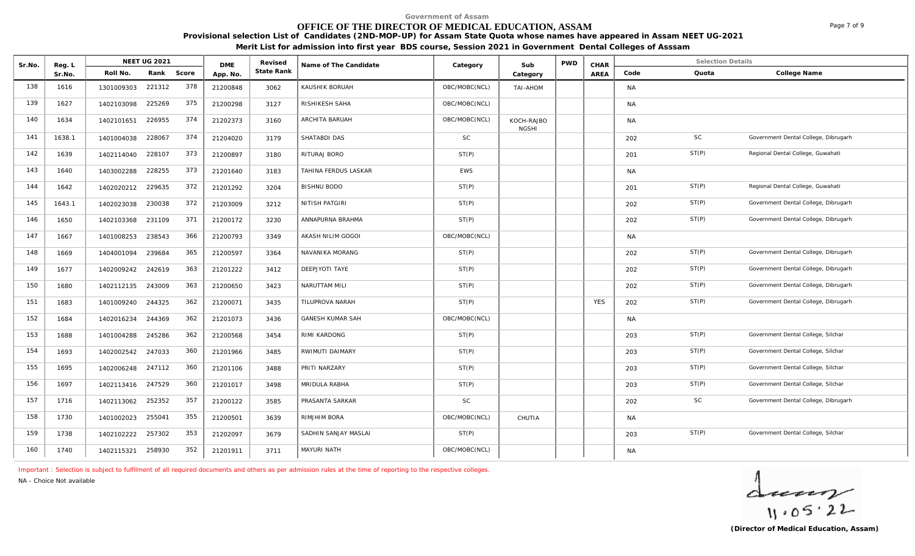# **OFFICE OF THE DIRECTOR OF MEDICAL EDUCATION, ASSAM**

**Provisional selection List of Candidates (2ND-MOP-UP) for Assam State Quota whose names have appeared in Assam NEET UG-2021** 

**Merit List for admission into first year BDS course, Session 2021 in Government Dental Colleges of Asssam**

| Sr.No. | Reg. L | NEET UG 2021      |        | <b>DME</b> |          | Revised    | Name of The Candidate   | Category      | Sub                        | <b>PWD</b> | CHAR       |           | <b>Selection Details</b> |                                      |
|--------|--------|-------------------|--------|------------|----------|------------|-------------------------|---------------|----------------------------|------------|------------|-----------|--------------------------|--------------------------------------|
|        | Sr.No. | Roll No.          | Rank   | Score      | App. No. | State Rank |                         |               | Category                   |            | AREA       | Code      | Quota                    | College Name                         |
| 138    | 1616   | 1301009303        | 221312 | 378        | 21200848 | 3062       | KAUSHIK BORUAH          | OBC/MOBC(NCL) | <b>NOHA-IAT</b>            |            |            | <b>NA</b> |                          |                                      |
| 139    | 1627   | 1402103098        | 225269 | 375        | 21200298 | 3127       | RISHIKESH SAHA          | OBC/MOBC(NCL) |                            |            |            | <b>NA</b> |                          |                                      |
| 140    | 1634   | 1402101651        | 226955 | 374        | 21202373 | 3160       | <b>ARCHITA BARUAH</b>   | OBC/MOBC(NCL) | KOCH-RAJBO<br><b>NGSHI</b> |            |            | <b>NA</b> |                          |                                      |
| 141    | 1638.1 | 1401004038        | 228067 | 374        | 21204020 | 3179       | SHATABDI DAS            | <b>SC</b>     |                            |            |            | 202       | SC                       | Government Dental College, Dibrugarh |
| 142    | 1639   | 1402114040        | 228107 | 373        | 21200897 | 3180       | RITURAJ BORO            | ST(P)         |                            |            |            | 201       | ST(P)                    | Regional Dental College, Guwahati    |
| 143    | 1640   | 1403002288        | 228255 | 373        | 21201640 | 3183       | TAHINA FERDUS LASKAR    | <b>EWS</b>    |                            |            |            | <b>NA</b> |                          |                                      |
| 144    | 1642   | 1402020212        | 229635 | 372        | 21201292 | 3204       | <b>BISHNU BODO</b>      | ST(P)         |                            |            |            | 201       | ST(P)                    | Regional Dental College, Guwahati    |
| 145    | 1643.1 | 1402023038        | 230038 | 372        | 21203009 | 3212       | NITISH PATGIRI          | ST(P)         |                            |            |            | 202       | ST(P)                    | Government Dental College, Dibrugarh |
| 146    | 1650   | 1402103368        | 231109 | 371        | 21200172 | 3230       | ANNAPURNA BRAHMA        | ST(P)         |                            |            |            | 202       | ST(P)                    | Government Dental College, Dibrugarh |
| 147    | 1667   | 1401008253        | 238543 | 366        | 21200793 | 3349       | AKASH NILIM GOGOI       | OBC/MOBC(NCL) |                            |            |            | <b>NA</b> |                          |                                      |
| 148    | 1669   | 1404001094        | 239684 | 365        | 21200597 | 3364       | NAVANIKA MORANG         | ST(P)         |                            |            |            | 202       | ST(P)                    | Government Dental College, Dibrugarh |
| 149    | 1677   | 1402009242        | 242619 | 363        | 21201222 | 3412       | DEEPJYOTI TAYE          | ST(P)         |                            |            |            | 202       | ST(P)                    | Government Dental College, Dibrugarh |
| 150    | 1680   | 1402112135        | 243009 | 363        | 21200650 | 3423       | NARUTTAM MILI           | ST(P)         |                            |            |            | 202       | ST(P)                    | Government Dental College, Dibrugarh |
| 151    | 1683   | 1401009240        | 244325 | 362        | 21200071 | 3435       | TILUPROVA NARAH         | ST(P)         |                            |            | <b>YES</b> | 202       | ST(P)                    | Government Dental College, Dibrugarh |
| 152    | 1684   | 1402016234        | 244369 | 362        | 21201073 | 3436       | <b>GANESH KUMAR SAH</b> | OBC/MOBC(NCL) |                            |            |            | <b>NA</b> |                          |                                      |
| 153    | 1688   | 1401004288        | 245286 | 362        | 21200568 | 3454       | RIMI KARDONG            | ST(P)         |                            |            |            | 203       | ST(P)                    | Government Dental College, Silchar   |
| 154    | 1693   | 1402002542 247033 |        | 360        | 21201966 | 3485       | RWIMUTI DAIMARY         | ST(P)         |                            |            |            | 203       | ST(P)                    | Government Dental College, Silchar   |
| 155    | 1695   | 1402006248        | 247112 | 360        | 21201106 | 3488       | PRITI NARZARY           | ST(P)         |                            |            |            | 203       | ST(P)                    | Government Dental College, Silchar   |
| 156    | 1697   | 1402113416 247529 |        | 360        | 21201017 | 3498       | MRIDULA RABHA           | ST(P)         |                            |            |            | 203       | ST(P)                    | Government Dental College, Silchar   |
| 157    | 1716   | 1402113062        | 252352 | 357        | 21200122 | 3585       | PRASANTA SARKAR         | <b>SC</b>     |                            |            |            | 202       | <b>SC</b>                | Government Dental College, Dibrugarh |
| 158    | 1730   | 1401002023        | 255041 | 355        | 21200501 | 3639       | RIMJHIM BORA            | OBC/MOBC(NCL) | CHUTIA                     |            |            | <b>NA</b> |                          |                                      |
| 159    | 1738   | 1402102222        | 257302 | 353        | 21202097 | 3679       | SADHIN SANJAY MASLAI    | ST(P)         |                            |            |            | 203       | ST(P)                    | Government Dental College, Silchar   |
| 160    | 1740   | 1402115321        | 258930 | 352        | 21201911 | 3711       | MAYURI NATH             | OBC/MOBC(NCL) |                            |            |            | <b>NA</b> |                          |                                      |

*Important : Selection is subject to fulfilment of all required documents and others as per admission rules at the time of reporting to the respective colleges.*

*NA - Choice Not available*

 $\frac{1}{11.05.22}$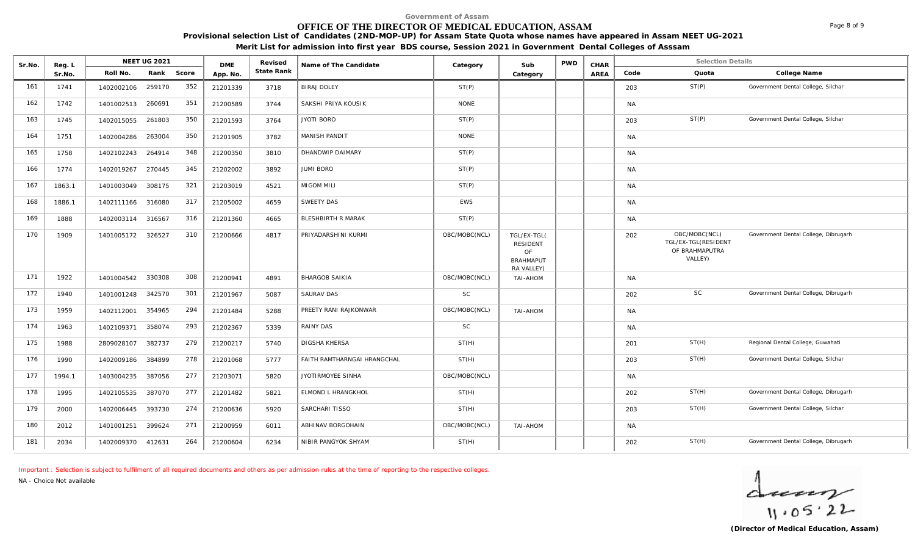# **OFFICE OF THE DIRECTOR OF MEDICAL EDUCATION, ASSAM**

**Provisional selection List of Candidates (2ND-MOP-UP) for Assam State Quota whose names have appeared in Assam NEET UG-2021** 

**Merit List for admission into first year BDS course, Session 2021 in Government Dental Colleges of Asssam**

| Sr.No. | Reg. L | NEET UG 2021<br>Rank Score<br>Roll No. |        |     | <b>DME</b> | Revised    | Name of The Candidate              | Category      | Sub                                                                    | <b>PWD</b> | CHAR |           | <b>Selection Details</b>                                          |                                      |
|--------|--------|----------------------------------------|--------|-----|------------|------------|------------------------------------|---------------|------------------------------------------------------------------------|------------|------|-----------|-------------------------------------------------------------------|--------------------------------------|
|        | Sr.No. |                                        |        |     | App. No.   | State Rank |                                    |               | Category                                                               |            | AREA | Code      | Quota                                                             | College Name                         |
| 161    | 1741   | 1402002106                             | 259170 | 352 | 21201339   | 3718       | <b>BIRAJ DOLEY</b>                 | ST(P)         |                                                                        |            |      | 203       | ST(P)                                                             | Government Dental College, Silchar   |
| 162    | 1742   | 1401002513 260691                      |        | 351 | 21200589   | 3744       | SAKSHI PRIYA KOUSIK                | <b>NONE</b>   |                                                                        |            |      | <b>NA</b> |                                                                   |                                      |
| 163    | 1745   | 1402015055                             | 261803 | 350 | 21201593   | 3764       | <b>JYOTI BORO</b>                  | ST(P)         |                                                                        |            |      | 203       | ST(P)                                                             | Government Dental College, Silchar   |
| 164    | 1751   | 1402004286                             | 263004 | 350 | 21201905   | 3782       | <b>MANISH PANDIT</b>               | <b>NONE</b>   |                                                                        |            |      | NA        |                                                                   |                                      |
| 165    | 1758   | 1402102243                             | 264914 | 348 | 21200350   | 3810       | DHANDWIP DAIMARY                   | ST(P)         |                                                                        |            |      | <b>NA</b> |                                                                   |                                      |
| 166    | 1774   | 1402019267                             | 270445 | 345 | 21202002   | 3892       | <b>JUMI BORO</b>                   | ST(P)         |                                                                        |            |      | NA        |                                                                   |                                      |
| 167    | 1863.1 | 1401003049                             | 308175 | 321 | 21203019   | 4521       | <b>MIGOM MILI</b>                  | ST(P)         |                                                                        |            |      | <b>NA</b> |                                                                   |                                      |
| 168    | 1886.1 | 1402111166 316080                      |        | 317 | 21205002   | 4659       | SWEETY DAS                         | <b>EWS</b>    |                                                                        |            |      | <b>NA</b> |                                                                   |                                      |
| 169    | 1888   | 1402003114 316567                      |        | 316 | 21201360   | 4665       | BLESHBIRTH R MARAK                 | ST(P)         |                                                                        |            |      | NA        |                                                                   |                                      |
| 170    | 1909   | 1401005172 326527                      |        | 310 | 21200666   | 4817       | PRIYADARSHINI KURMI                | OBC/MOBC(NCL) | TGL/EX-TGL(<br><b>RESIDENT</b><br>OF<br><b>BRAHMAPUT</b><br>RA VALLEY) |            |      | 202       | OBC/MOBC(NCL)<br>TGL/EX-TGL(RESIDENT<br>OF BRAHMAPUTRA<br>VALLEY) | Government Dental College, Dibrugarh |
| 171    | 1922   | 1401004542 330308                      |        | 308 | 21200941   | 4891       | <b>BHARGOB SAIKIA</b>              | OBC/MOBC(NCL) | TAI-AHOM                                                               |            |      | NA        |                                                                   |                                      |
| 172    | 1940   | 1401001248 342570                      |        | 301 | 21201967   | 5087       | <b>SAURAV DAS</b>                  | <b>SC</b>     |                                                                        |            |      | 202       | <b>SC</b>                                                         | Government Dental College, Dibrugarh |
| 173    | 1959   | 1402112001                             | 354965 | 294 | 21201484   | 5288       | PREETY RANI RAJKONWAR              | OBC/MOBC(NCL) | <b>TAI-AHOM</b>                                                        |            |      | <b>NA</b> |                                                                   |                                      |
| 174    | 1963   | 1402109371                             | 358074 | 293 | 21202367   | 5339       | RAINY DAS                          | SC            |                                                                        |            |      | NA        |                                                                   |                                      |
| 175    | 1988   | 2809028107                             | 382737 | 279 | 21200217   | 5740       | DIGSHA KHERSA                      | ST(H)         |                                                                        |            |      | 201       | ST(H)                                                             | Regional Dental College, Guwahati    |
| 176    | 1990   | 1402009186                             | 384899 | 278 | 21201068   | 5777       | <b>FAITH RAMTHARNGAI HRANGCHAL</b> | ST(H)         |                                                                        |            |      | 203       | ST(H)                                                             | Government Dental College, Silchar   |
| 177    | 1994.1 | 1403004235                             | 387056 | 277 | 21203071   | 5820       | JYOTIRMOYEE SINHA                  | OBC/MOBC(NCL) |                                                                        |            |      | <b>NA</b> |                                                                   |                                      |
| 178    | 1995   | 1402105535                             | 387070 | 277 | 21201482   | 5821       | ELMOND L HRANGKHOL                 | ST(H)         |                                                                        |            |      | 202       | ST(H)                                                             | Government Dental College, Dibrugarh |
| 179    | 2000   | 1402006445                             | 393730 | 274 | 21200636   | 5920       | SARCHARI TISSO                     | ST(H)         |                                                                        |            |      | 203       | ST(H)                                                             | Government Dental College, Silchar   |
| 180    | 2012   | 1401001251                             | 399624 | 271 | 21200959   | 6011       | ABHINAV BORGOHAIN                  | OBC/MOBC(NCL) | TAI-AHOM                                                               |            |      | NA        |                                                                   |                                      |
| 181    | 2034   | 1402009370 412631                      |        | 264 | 21200604   | 6234       | NIBIR PANGYOK SHYAM                | ST(H)         |                                                                        |            |      | 202       | ST(H)                                                             | Government Dental College, Dibrugarh |

*Important : Selection is subject to fulfilment of all required documents and others as per admission rules at the time of reporting to the respective colleges.*

*NA - Choice Not available*

 $\frac{1}{11.05.22}$